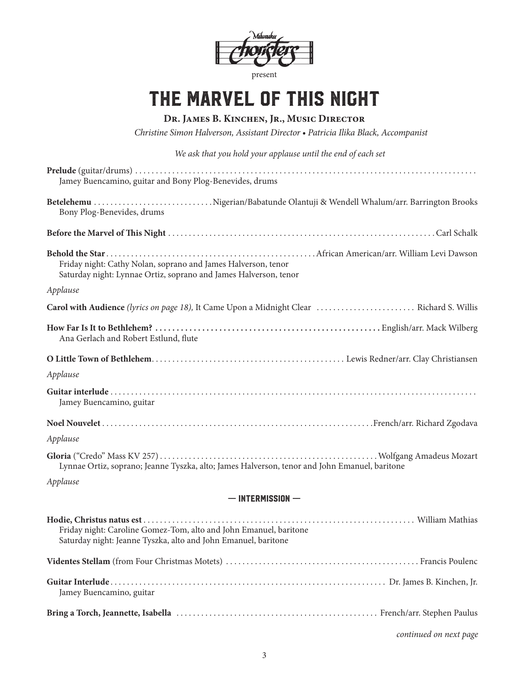

# the marvel of this night

## **Dr. James B. Kinchen, Jr., Music Director**

*Christine Simon Halverson, Assistant Director • Patricia Ilika Black, Accompanist*

*We ask that you hold your applause until the end of each set*

| Jamey Buencamino, guitar and Bony Plog-Benevides, drums                                                                             |  |  |
|-------------------------------------------------------------------------------------------------------------------------------------|--|--|
| Betelehemu Nigerian/Babatunde Olantuji & Wendell Whalum/arr. Barrington Brooks<br>Bony Plog-Benevides, drums                        |  |  |
|                                                                                                                                     |  |  |
| Friday night: Cathy Nolan, soprano and James Halverson, tenor<br>Saturday night: Lynnae Ortiz, soprano and James Halverson, tenor   |  |  |
| Applause                                                                                                                            |  |  |
|                                                                                                                                     |  |  |
| Ana Gerlach and Robert Estlund, flute                                                                                               |  |  |
|                                                                                                                                     |  |  |
| Applause                                                                                                                            |  |  |
| Jamey Buencamino, guitar                                                                                                            |  |  |
|                                                                                                                                     |  |  |
| Applause                                                                                                                            |  |  |
| Lynnae Ortiz, soprano; Jeanne Tyszka, alto; James Halverson, tenor and John Emanuel, baritone                                       |  |  |
| Applause                                                                                                                            |  |  |
| $-$ INTERMISSION $-$                                                                                                                |  |  |
| Friday night: Caroline Gomez-Tom, alto and John Emanuel, baritone<br>Saturday night: Jeanne Tyszka, alto and John Emanuel, baritone |  |  |
|                                                                                                                                     |  |  |
| Jamey Buencamino, guitar                                                                                                            |  |  |
|                                                                                                                                     |  |  |
| continued on next page                                                                                                              |  |  |